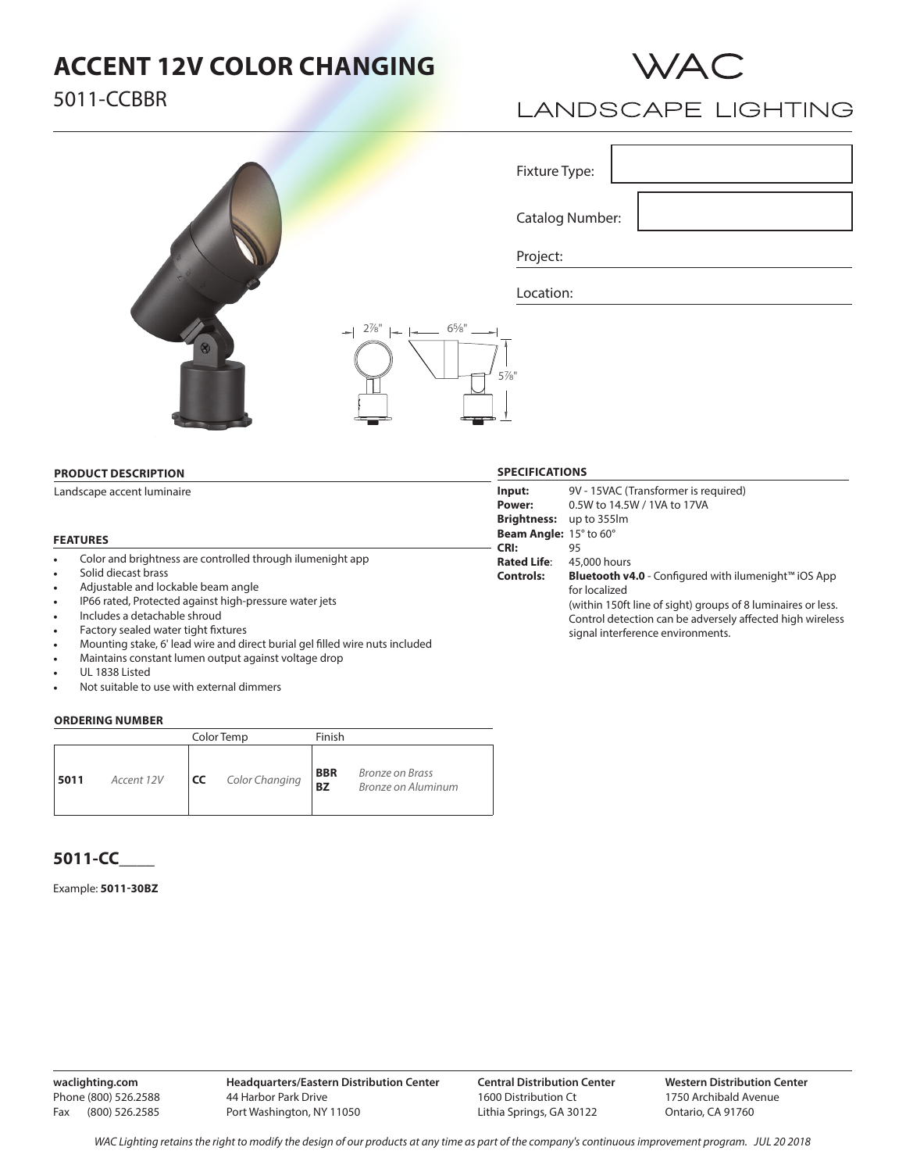## **ACCENT 12V COLOR CHANGING**





## **LANDSCAPE LIGHTING**

Fixture Type:

Catalog Number:

Project:

 $2\%$ "  $\leftarrow$   $\leftarrow$  6<sup>5</sup>/<sub>8</sub>"

Location:

#### **PRODUCT DESCRIPTION**

Landscape accent luminaire

#### **FEATURES**

- Color and brightness are controlled through ilumenight app
- Solid diecast brass
- Adjustable and lockable beam angle
- IP66 rated, Protected against high-pressure water jets
- Includes a detachable shroud
- Factory sealed water tight fixtures
- Mounting stake, 6' lead wire and direct burial gel filled wire nuts included
- Maintains constant lumen output against voltage drop
- UL 1838 Listed
- Not suitable to use with external dimmers

#### **ORDERING NUMBER**

|                    |           | Color Temp     | Finish                  |                                              |
|--------------------|-----------|----------------|-------------------------|----------------------------------------------|
| 5011<br>Accent 12V | <b>CC</b> | Color Changing | <b>BBR</b><br><b>BZ</b> | <b>Bronze on Brass</b><br>Bronze on Aluminum |

### **5011-CC\_\_\_\_**

### Example: **5011-30BZ**

**waclighting.com** Phone (800) 526.2588 Fax (800) 526.2585

**Central Distribution Center** 1600 Distribution Ct Lithia Springs, GA 30122

**Western Distribution Center**  1750 Archibald Avenue Ontario, CA 91760

 $5\%$ "

**Input: Power: Brightness:** up to 355lm **Beam Angle:** 15° to 60° **CRI: Rated Life**: **Controls:** 9V - 15VAC (Transformer is required) 0.5W to 14.5W / 1VA to 17VA 95 45,000 hours **Bluetooth v4.0** - Configured with ilumenight™ iOS App for localized (within 150ft line of sight) groups of 8 luminaires or less. Control detection can be adversely affected high wireless signal interference environments.

**SPECIFICATIONS**